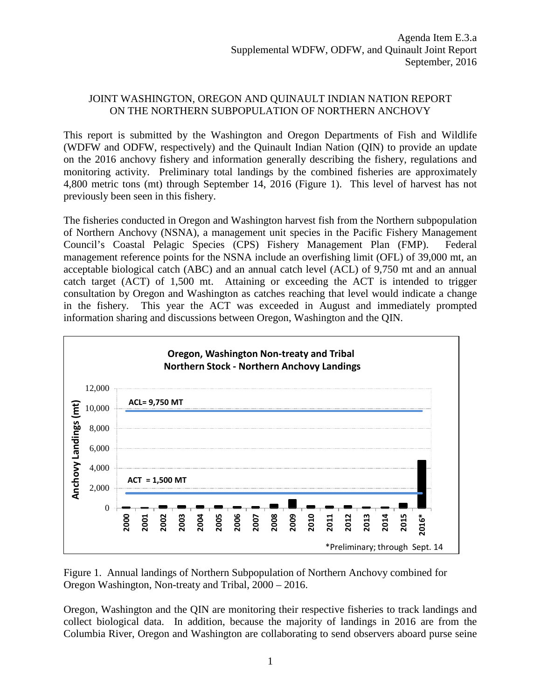## JOINT WASHINGTON, OREGON AND QUINAULT INDIAN NATION REPORT ON THE NORTHERN SUBPOPULATION OF NORTHERN ANCHOVY

This report is submitted by the Washington and Oregon Departments of Fish and Wildlife (WDFW and ODFW, respectively) and the Quinault Indian Nation (QIN) to provide an update on the 2016 anchovy fishery and information generally describing the fishery, regulations and monitoring activity. Preliminary total landings by the combined fisheries are approximately 4,800 metric tons (mt) through September 14, 2016 (Figure 1). This level of harvest has not previously been seen in this fishery.

The fisheries conducted in Oregon and Washington harvest fish from the Northern subpopulation of Northern Anchovy (NSNA), a management unit species in the Pacific Fishery Management Council's Coastal Pelagic Species (CPS) Fishery Management Plan (FMP). Federal management reference points for the NSNA include an overfishing limit (OFL) of 39,000 mt, an acceptable biological catch (ABC) and an annual catch level (ACL) of 9,750 mt and an annual catch target (ACT) of 1,500 mt. Attaining or exceeding the ACT is intended to trigger consultation by Oregon and Washington as catches reaching that level would indicate a change in the fishery. This year the ACT was exceeded in August and immediately prompted information sharing and discussions between Oregon, Washington and the QIN.



Figure 1. Annual landings of Northern Subpopulation of Northern Anchovy combined for Oregon Washington, Non-treaty and Tribal, 2000 – 2016.

Oregon, Washington and the QIN are monitoring their respective fisheries to track landings and collect biological data. In addition, because the majority of landings in 2016 are from the Columbia River, Oregon and Washington are collaborating to send observers aboard purse seine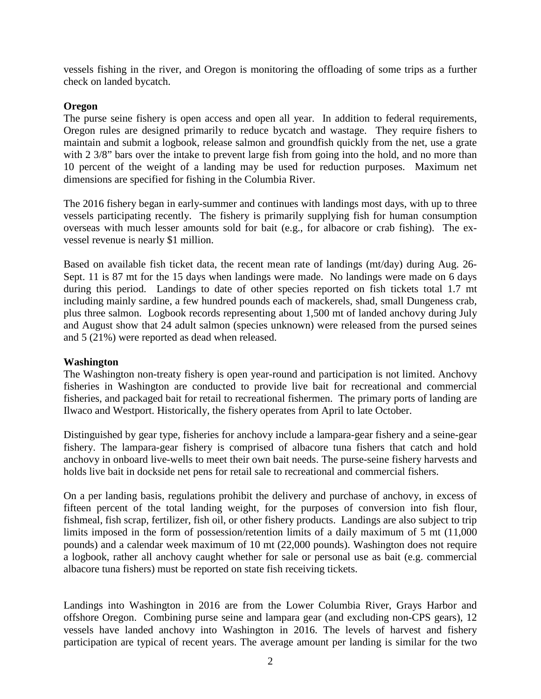vessels fishing in the river, and Oregon is monitoring the offloading of some trips as a further check on landed bycatch.

## **Oregon**

The purse seine fishery is open access and open all year. In addition to federal requirements, Oregon rules are designed primarily to reduce bycatch and wastage. They require fishers to maintain and submit a logbook, release salmon and groundfish quickly from the net, use a grate with 2 3/8" bars over the intake to prevent large fish from going into the hold, and no more than 10 percent of the weight of a landing may be used for reduction purposes. Maximum net dimensions are specified for fishing in the Columbia River.

The 2016 fishery began in early-summer and continues with landings most days, with up to three vessels participating recently. The fishery is primarily supplying fish for human consumption overseas with much lesser amounts sold for bait (e.g., for albacore or crab fishing). The exvessel revenue is nearly \$1 million.

Based on available fish ticket data, the recent mean rate of landings (mt/day) during Aug. 26- Sept. 11 is 87 mt for the 15 days when landings were made. No landings were made on 6 days during this period. Landings to date of other species reported on fish tickets total 1.7 mt including mainly sardine, a few hundred pounds each of mackerels, shad, small Dungeness crab, plus three salmon. Logbook records representing about 1,500 mt of landed anchovy during July and August show that 24 adult salmon (species unknown) were released from the pursed seines and 5 (21%) were reported as dead when released.

## **Washington**

The Washington non-treaty fishery is open year-round and participation is not limited. Anchovy fisheries in Washington are conducted to provide live bait for recreational and commercial fisheries, and packaged bait for retail to recreational fishermen. The primary ports of landing are Ilwaco and Westport. Historically, the fishery operates from April to late October.

Distinguished by gear type, fisheries for anchovy include a lampara-gear fishery and a seine-gear fishery. The lampara-gear fishery is comprised of albacore tuna fishers that catch and hold anchovy in onboard live-wells to meet their own bait needs. The purse-seine fishery harvests and holds live bait in dockside net pens for retail sale to recreational and commercial fishers.

On a per landing basis, regulations prohibit the delivery and purchase of anchovy, in excess of fifteen percent of the total landing weight, for the purposes of conversion into fish flour, fishmeal, fish scrap, fertilizer, fish oil, or other fishery products. Landings are also subject to trip limits imposed in the form of possession/retention limits of a daily maximum of 5 mt (11,000 pounds) and a calendar week maximum of 10 mt (22,000 pounds). Washington does not require a logbook, rather all anchovy caught whether for sale or personal use as bait (e.g. commercial albacore tuna fishers) must be reported on state fish receiving tickets.

Landings into Washington in 2016 are from the Lower Columbia River, Grays Harbor and offshore Oregon. Combining purse seine and lampara gear (and excluding non-CPS gears), 12 vessels have landed anchovy into Washington in 2016. The levels of harvest and fishery participation are typical of recent years. The average amount per landing is similar for the two